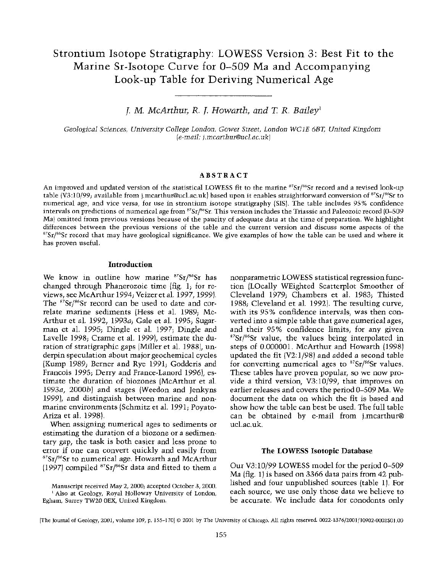# **Strontium Isotope Stratigraphy: LOWESS Version 3: Best Fit to the Marine Sr-Isotope Curve for 0-509 Ma and Accompanying Look-up Table for Deriving Numerical Age**

**J. M. McArthur, R. J. Howarth, and T. R. Bailey'** 

**Geological Sciences, University College London, Gower Street, London WC1E 6BT, United Kingdom (e-mail: j.mcarthur@ucl. ac. uk)** 

### **ABSTRACT**

**An improved and updated version of the statistical LOWESS fit to the marine 87Sr/86Sr record and a revised look-up table (V3:10/99; available from j.mcarthur@ucl.ac.uk) based upon it enables straightforward conversion of 87Sr/86Sr to numerical age, and vice versa, for use in strontium isotope stratigraphy (SIS). The table includes 95% confidence intervals on predictions of numerical age from 87Sr/86Sr. This version includes the Triassic and Paleozoic record (0-509 Ma) omitted from previous versions because of the paucity of adequate data at the time of preparation. We highlight differences between the previous versions of the table and the current version and discuss some aspects of the 87Sr/s6Sr record that may have geological significance. We give examples of how the table can be used and where it has proven useful.** 

## **Introduction**

**We know in outline how marine s'Sr/86Sr has changed through Phanerozoic time (fig. 1; for reviews, see McArthur 1994; Veizer et al. 1997, 1999).**  The <sup>87</sup>Sr/<sup>86</sup>Sr record can be used to date and cor**relate marine sediments (Hess et al. 1989; Mc-Arthur et al. 1992, 1993a; Gale et al. 1995; Sugarman et al. 1995; Dingle et al. 1997; Dingle and Lavelle 1998; Crame et al. 1999), estimate the duration of stratigraphic gaps (Miller et al. 1988), underpin speculation about major geochemical cycles (Kump 1989; Berner and Rye 1991; Godderis and Francois 1995; Derry and France-Lanord 1996), estimate the duration of biozones (McArthur et al. 1993a, 2000b) and stages (Weedon and Jenkyns 1999), and distinguish between marine and nonmarine environments (Schmitz et al. 1991; Poyato-Ariza et al. 1998).** 

**When assigning numerical ages to sediments or estimating the duration of a biozone or a sedimentary gap, the task is both easier and less prone to error if one can convert quickly and easily from 87Sr/86Sr to numerical age. Howarth and McArthur (1997) compiled 8Sr/s6Sr data and fitted to them a** 

**Manuscript received May 2, 2000; accepted October 3, 2000. 1Also at Geology, Royal Holloway University of London, Egham, Surrey TW20 OEX, United Kingdom.** 

**nonparametric LOWESS statistical regression function (LOcally WEighted Scatterplot Smoother of Cleveland 1979; Chambers et al. 1983; Thisted 1988; Cleveland et al. 1992). The resulting curve, with its 95% confidence intervals, was then converted into a simple table that gave numerical ages, and their 95% confidence limits, for any given 87Sr/86Sr value, the values being interpolated in steps of 0.000001. McArthur and Howarth (1998) updated the fit (V2:1/98) and added a second table for converting numerical ages to 87Sr/86Sr values. These tables have proven popular, so we now provide a third version, V3:10/99, that improves on earlier releases and covers the period 0-509 Ma. We document the data on which the fit is based and show how the table can best be used. The full table can be obtained by e-mail from j.mcarthur@ ucl.ac.uk.** 

#### **The LOWESS Isotopic Database**

**Our V3:10/99 LOWESS model for the period 0-509 Ma (fig. 1) is based on 3366 data pairs from 42 published and four unpublished sources (table 1). For each source, we use only those data we believe to be accurate. We include data for conodonts only** 

**<sup>[</sup>The Journal of Geology, 2001, volume 109, p. 155-170] © 2001 by The University of Chicago. All rights reserved. 0022-1376/2001/10902-0002\$01.00**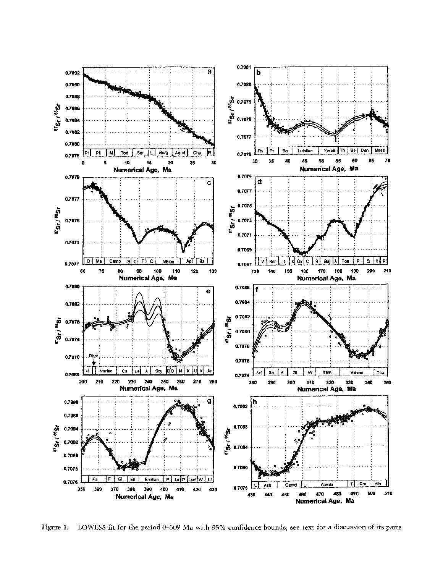

**Figure 1. LOWESS fit for the period 0-509 Ma with 95% confidence bounds; see text for a discussion of its parts**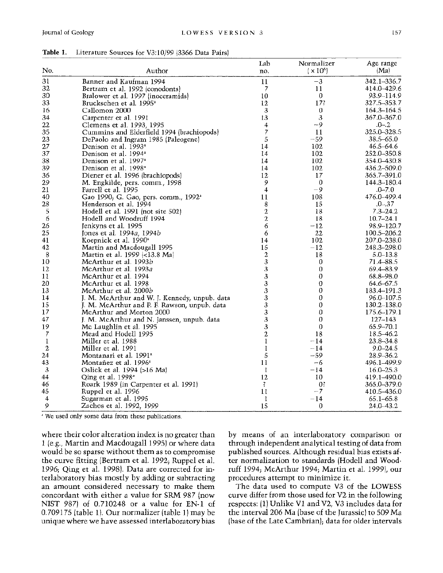|                |                                                  | Lab                      | Normalizer                | Age range       |
|----------------|--------------------------------------------------|--------------------------|---------------------------|-----------------|
| No.            | Author                                           | no.                      | $\vert \times 10^6 \vert$ | (Ma)            |
| 31             | Banner and Kaufman 1994                          | 11                       | $-3$                      | 342.1-336.7     |
| 32             | Bertram et al. 1992 (conodonts)                  | 7                        | 11                        | 414.0-429.6     |
| 30             | Bralower et al. 1997 (inoceramids)               | 10                       | 0                         | 93.9-114.9      |
| 33             | Bruckschen et al. 1995 <sup>a</sup>              | 12                       | 17?                       | 327.5–353.7     |
| 16             | Callomon 2000                                    | 3                        | $\boldsymbol{0}$          | $164.3 - 164.5$ |
| 34             | Carpenter et al. 1991                            | 13                       | $\sqrt{3}$                | 367.0-367.0     |
| 22             | Clemens et al. 1993, 1995                        | 4                        | --9                       | $.0 - .2$       |
| 35             | Cummins and Elderfield 1994 (brachiopods)        | $\overline{\mathcal{I}}$ | 11                        | 325.0-328.5     |
| 23             | DePaolo and Ingram 1985 (Paleogene)              | 5                        | $-59$                     | $38.5 - 65.0$   |
| 27             | Denison et al. 1993 <sup>a</sup>                 | 14                       | 102                       | $46.5 - 64.6$   |
| 37             | Denison et al. 1994 <sup>a</sup>                 | 14                       | 102                       | 252.0–350.8     |
| 38             | Denison et al. 1997 <sup>a</sup>                 | 14                       | 102                       | 354.0-430.8     |
| 39             | Denison et al. 1998 <sup>a</sup>                 | 14                       | 102                       | 436.2–509.0     |
| 36             | Diener et al. 1996 (brachiopods)                 | 12                       | 17                        | 365.7-391.0     |
| 29             | M. Engkilde, pers. comm., 1998                   | 9                        | 0                         | 144.3-180.4     |
| 21             | Farrell et al. 1995                              | 4                        | -9                        | $.0 - 7.0$      |
| 40             | Gao 1990; G. Gao, pers. comm., 1992 <sup>a</sup> | 11                       | 108                       | 476.0-499.4     |
| 28             | Henderson et al. 1994                            | 8                        | 15                        | $.0 - .37$      |
| 5              | Hodell et al. 1991 (not site 502)                | 2                        | 18                        | $7.3 - 24.2$    |
| 6              | Hodell and Woodruff 1994                         | 2                        | 18                        | $10.7 - 24.1$   |
| 26             | Jenkyns et al. 1995                              | 6                        | $-12$                     | $98.9 - 120.7$  |
| 25             | Jones et al. 1994a, 1994b                        | 6                        | 22                        | 100.5-206.2     |
| 41             | Koepnick et al. 1990 <sup>®</sup>                | 14                       | 102                       | 207.0-238.0     |
| 42             | Martin and Macdougall 1995                       | 15                       | $-12$                     | 248.3-298.0     |
| 8              | Martin et al. 1999 (<13.8 Ma)                    | 2                        | 18                        | $5.0 - 13.8$    |
| 10             | McArthur et al. 1993b                            | 3                        | 0                         | 71.4-88.5       |
| 12             | McArthur et al. 1993 <i>a</i>                    | 3                        | 0                         | 69.4-83.9       |
| 11             | McArthur et al. 1994                             | 3                        | 0                         | 68.8-98.0       |
| 20             | McArthur et al. 1998                             | 3                        | $\boldsymbol{0}$          | $64.6 - 67.5$   |
| 13             | McArthur et al. 2000b                            | 3                        | $\boldsymbol{0}$          | 183.4-191.3     |
| 14             | J. M. McArthur and W. J. Kennedy, unpub. data    | 3                        | $\boldsymbol{0}$          | 96.0-107.5      |
| 15             | J. M. McArthur and P. F. Rawson, unpub. data     | 3                        | $\boldsymbol{0}$          | 130.2-138.0     |
| 17             | McArthur and Morton 2000                         | 3                        | 0                         | 175.6–179.1     |
| 47             | J. M. McArthur and N. Janssen, unpub. data       | 3                        | 0                         | $127 - 143$     |
| 19             | Mc Laughlin et al. 1995                          | 3                        | 0                         | 65.9-70.1       |
| 7              | Mead and Hodell 1995                             | 2                        | 18                        | 18.5–46.2       |
| 1              | Miller et al. 1988                               | I                        | $-14$                     | $23.8 - 34.8$   |
| 2              | Miller et al. 1991                               | 1                        | $-14$                     | $9.0 - 24.5$    |
| 24             | Montanari et al. 1991 <sup>a</sup>               | 5                        | $-59$                     | 28.9-36.2       |
| 43             | Montañez et al. 1996 <sup>a</sup>                | $_{11}$                  | -6                        | 496.1-499.9     |
| $\mathfrak{z}$ | Oslick et al. 1994 (>16 Ma)                      | 1                        | $-14$                     | $16.0 - 25.3$   |
| 44             | Qing et al. 1998 <sup>ª</sup>                    | 12                       | 10                        | 419.1–490.0     |
| 46             | Roark 1989 (in Carpenter et al. 1991)            | $\mathcal{I}$            | 0 <sup>2</sup>            | 365,0-379.0     |
| 45             | Ruppel et al. 1996                               | 11                       | $-7$                      | 410.5-436.0     |
| 4              | Sugarman et al. 1995                             | 1                        | $-14$                     | $65.1 - 65.8$   |
| 9              | Zachos et al. 1992, 1999                         | 15                       | $\boldsymbol{0}$          | $24.0 - 43.2$   |

**Table 1. Literature Sources for V3:10/99 (3366 Data Pairs)** 

**a We used only some data from these publications.** 

**where their color alteration index is no greater than 1 (e.g., Martin and Macdougall 1995) or where data would be so sparse without them as to compromise the curve fitting (Bertram et al. 1992; Ruppel et al. 1996; Qing et al. 1998). Data are corrected for interlaboratory bias mostly by adding or subtracting an amount considered necessary to make them concordant with either a value for SRM 987 (now NIST 987) of 0.710248 or a value for EN-1 of 0.709175 (table 1). Our normalizer (table 1) may be unique where we have assessed interlaboratory bias**  **by means of an interlaboratory comparison or through independent analytical testing of data from published sources. Although residual bias exists after normalization to standards (Hodell and Woodruff 1994; McArthur 1994; Martin et al. 1999), our procedures attempt to minimize it.** 

**The data used to compute V3 of the LOWESS curve differ from those used for V2 in the following respects: (1) Unlike V1 and V2, V3 includes data for the interval 206 Ma (base of the Jurassic) to 509 Ma (base of the Late Cambrian); data for older intervals**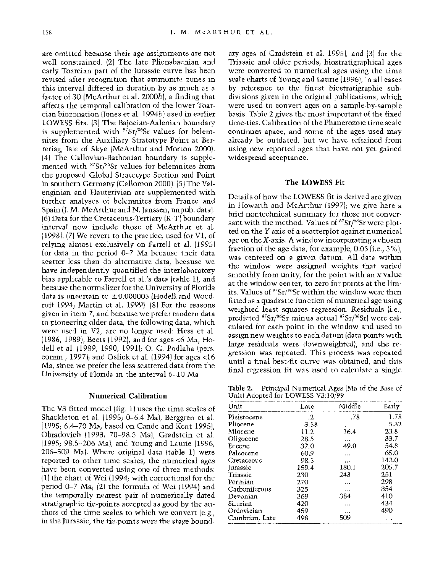**are omitted because their age assignments are not well constrained. (2) The late Pliensbachian and early Toarcian part of the Jurassic curve has been revised after recognition that ammonite zones in this interval differed in duration by as much as a factor of 30 (McArthur et al. 2000b), a finding that affects the temporal calibration of the lower Toarcian biozonation (Jones et al. 1994b) used in earlier LOWESS fits. (3) The Bajocian-Aalenian boundary**  is supplemented with <sup>87</sup>Sr/86Sr values for belem**nites from the Auxiliary Stratotype Point at Berreriag, Isle of Skye (McArthur and Morton 2000). (4) The Callovian-Bathonian boundary is supplemented with 87Sr/86Sr values for belemnites from the proposed Global Stratotype Section and Point in southern Germany (Callomon 2000). (5) The Valenginian and Hauterivian are supplemented with further analyses of belemnites from France and Spain (J. M. McArthur and N. Janssen, unpub. data). (6) Data for the Cretaceous-Tertiary (K-T) boundary interval now include those of McArthur et al. (1998). (7) We revert to the practice, used for Vl, of relying almost exclusively on Farrell et al. (1995) for data in the period 0-7 Ma because their data scatter less than do alternative data, because we have independently quantified the interlaboratory bias applicable to Farrell et al.'s data (table 1), and because the normalizer for the University of Florida**  data is uncertain to  $\pm 0.000005$  (Hodell and Wood**ruff 1994; Martin et al. 1999). (8) For the reasons given in item 7, and because we prefer modern data to pioneering older data, the following data, which were used in V2, are no longer used: Hess et al. (1986, 1989), Beets (1992), and for ages <6 Ma, Hodell et al. (1989, 1990, 1991); 0. G. Podlaha (pers. comm., 1997); and Oslick et al. (1994) for ages <16 Ma, since we prefer the less scattered data from the University of Florida in the interval 6-10 Ma.** 

#### **Numerical Calibration**

**The V3 fitted model (fig. 1) uses the time scales of Shackleton et al. (1995; 0-6.4 Ma), Berggren et al. (1995; 6.4-70 Ma, based on Cande and Kent 1995), Obradovich (1993; 70-98.5 Ma), Gradstein et al. (1995; 98.5-206 Ma), and Young and Laurie (1996; 206-509 Ma). Where original data (table 1) were reported to other time scales, the numerical ages have been converted using one of three methods: (1) the chart of Wei (1994; with corrections) for the period 0-7 Ma; (2) the formula of Wei (1994) and the temporally nearest pair of numerically dated stratigraphic tie-points accepted as good by the authors of the time scales to which we convert (e.g., in the Jurassic, the tie-points were the stage bound-** **ary ages of Gradstein et al. 1995); and (3) for the Triassic and older periods, biostratigraphical ages were converted to numerical ages using the time scale charts of Young and Laurie (1996), in all cases by reference to the finest biostratigraphic subdivisions given in the original publications, which were used to convert ages on a sample-by-sample basis. Table 2 gives the most important of the fixed time-ties. Calibration of the Phanerozoic time scale continues apace, and some of the ages used may already be outdated, but we have refrained from using new reported ages that have not yet gained widespread acceptance.** 

#### **The LOWESS Fit**

**Details of how the LOWESS fit is derived are given in Howarth and McArthur (1997); we give here a brief nontechnical summary for those not conver**sant with the method. Values of <sup>87</sup>Sr/<sup>86</sup>Sr were plot**ted on the Y-axis of a scatterplot against numerical age on the X-axis. A window incorporating a chosen fraction of the age data, for example, 0.05 (i.e., 5%), was centered on a given datum. All data within the window were assigned weights that varied smoothly from unity, for the point with an x value at the window center, to zero for points at the limits. Values of 87Sr/86Sr within the window were then fitted as a quadratic function of numerical age using weighted least squares regression. Residuals (i.e., predicted 87Sr/86Sr minus actual 87Sr/86Sr) were calculated for each point in the window and used to assign new weights to each datum (data points with large residuals were downweighted), and the regression was repeated. This process was repeated until a final best-fit curve was obtained, and this final regression fit was used to calculate a single** 

**Table 2. Principal Numerical Ages (Ma of the Base of Unit) Adopted for LOWESS V3:10/99** 

| Unit           | Late                 | Middle   | Early |  |
|----------------|----------------------|----------|-------|--|
| Pleistocene    | $\cdot$ <sub>2</sub> | .78      | 1.78  |  |
| Pliocene       | 3.58                 |          | 5.32  |  |
| Miocene        | 11.2                 | 16.4     | 23.8  |  |
| Oligocene      | 28.5                 | $\cdots$ | 33.7  |  |
| Eocene         | 37.0                 | 49.0     | 54.8  |  |
| Paleocene      | 60.9                 | $\cdots$ | 65.0  |  |
| Cretaceous     | 98.5                 | .        | 142.0 |  |
| Iurassic       | 159.4                | 180.1    | 205.7 |  |
| Triassic       | 230                  | 243      | 251   |  |
| Permian        | 270                  | .        | 298   |  |
| Carboniferous  | 325                  | .        | 354   |  |
| Devonian       | 369                  | 384      | 410   |  |
| Silurian       | 420                  |          | 434   |  |
| Ordovician     | 459                  | .        | 490   |  |
| Cambrian, Late | 498                  | 509      |       |  |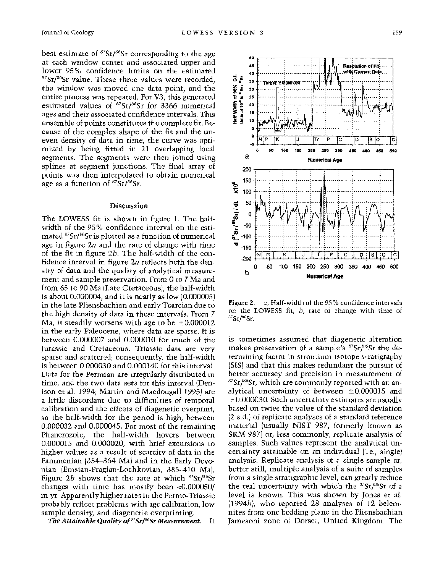**best estimate of 87Sr/86Sr corresponding to the age at each window center and associated upper and lower 95% confidence limits on the estimated 87Sr/86Sr value. These three values were recorded, the window was moved one data point, and the entire process was repeated. For V3, this generated estimated values of 87Sr/86Sr for 3366 numerical ages and their associated confidence intervals. This ensemble of points constitutes the complete fit. Because of the complex shape of the fit and the uneven density of data in time, the curve was optimized by being fitted in 21 overlapping local segments. The segments were then joined using splines at segment junctions. The final array of points was then interpolated to obtain numerical age as a function of 87Sr/86Sr.** 

#### **Discussion**

**The LOWESS fit is shown in figure 1. The halfwidth of the 95% confidence interval on the estimated 87Sr/6Sr is plotted as a function of numerical age in figure 2a and the rate of change with time of the fit in figure 2b. The half-width of the confidence interval in figure 2a reflects both the density of data and the quality of analytical measurement and sample preservation. From 0 to 7 Ma and from 65 to 90 Ma (Late Cretaceous), the half-width is about 0.000004, and it is nearly as low (0.000005) in the late Pliensbachian and early Toarcian due to the high density of data in these intervals. From 7 Ma, it steadily worsens with age to be ±0.000012 in the early Paleocene, where data are sparse. It is between 0.000007 and 0.000010 for much of the Jurassic and Cretaceous. Triassic data are very sparse and scattered; consequently, the half-width is between 0.000030 and 0.000140 for this interval. Data for the Permian are irregularly distributed in time, and the two data sets for this interval (Denison et al. 1994; Martin and Macdougall 1995) are a little discordant due to difficulties of temporal calibration and the effects of diagenetic overprint, so the half-width for the period is high, between 0.000032 and 0.000045. For most of the remaining Phanerozoic, the half-width hovers between 0.000015 and 0.000020, with brief excursions to higher values as a result of scarcity of data in the Fammenian (354-364 Ma) and in the Early Devonian (Emsian-Pragian-Lochkovian, 385-410 Ma). Figure 2b shows that the rate at which 87Sr/86Sr changes with time has mostly been <0.000050/ m.yr. Apparently higher rates in the Permo-Triassic probably reflect problems with age calibration, low sample density, and diagenetic overprinting.** 

**The Attainable Quality of 87Sr/86Sr Measurement. It** 



**Figure 2. a, Half-width of the 95 % confidence intervals on the LOWESS fit; b, rate of change with time of 87Sr/86Sr.** 

**is sometimes assumed that diagenetic alteration**  makes preservation of a sample's <sup>87</sup>Sr/<sup>86</sup>Sr the de**termining factor in strontium isotope stratigraphy (SIS) and that this makes redundant the pursuit of better accuracy and precision in measurement of 87Sr/86Sr, which are commonly reported with an an**alytical uncertainty of between  $\pm 0.000015$  and **+ 0.000030. Such uncertainty estimates are usually based on twice the value of the standard deviation (2 s.d.) of replicate analyses of a standard reference material (usually NIST 987, formerly known as SRM 987) or, less commonly, replicate analysis of samples. Such values represent the analytical uncertainty attainable on an individual (i.e., single) analysis. Replicate analysis of a single sample or, better still, multiple analysis of a suite of samples from a single stratigraphic level, can greatly reduce the real uncertainty with which the 87Sr/86Sr of a level is known. This was shown by Jones et al. (1994b), who reported 28 analyses of 12 belemnites from one bedding plane in the Pliensbachian Jamesoni zone of Dorset, United Kingdom. The**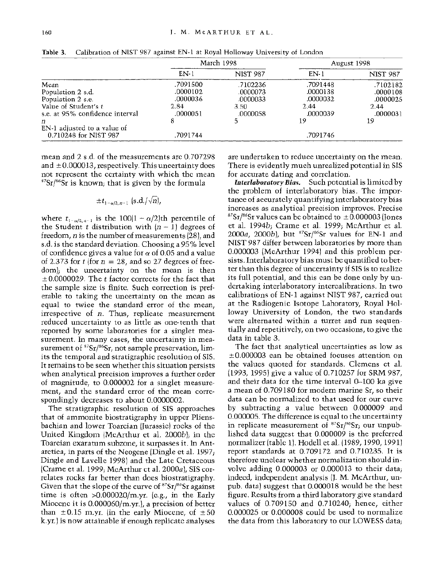|                                 | March 1998 |                 | August 1998 |                 |
|---------------------------------|------------|-----------------|-------------|-----------------|
|                                 | $EN-1$     | <b>NIST 987</b> | EN-1        | <b>NIST 987</b> |
| Mean                            | .7091500   | .7102236        | .7091448    | .7102182        |
| Population 2 s.d.               | .0000102   | .0000073        | .0000138    | .0000108        |
| Population 2 s.e.               | .0000036   | .0000033        | .0000032    | .0000025        |
| Value of Student's t            | 2.84       | 3.50            | 2.44        | 2.44            |
| s.e. at 95% confidence interval | .0000051   | .0000058        | .0000039    | .0000031        |
| п                               |            |                 | 19          | 19              |
| EN-1 adjusted to a value of     |            |                 |             |                 |
| 0.710248 for NIST 987           | .7091744   |                 | .7091746    |                 |

**Table 3. Calibration of NIST 987 against EN-1 at Royal Holloway University of London** 

**mean and 2 s.d. of the measurements are 0.707298 and ± 0.000013, respectively. This uncertainty does not represent the certainty with which the mean 87Sr/86Sr is known; that is given by the formula** 

$$
\pm t_{1-\alpha/2,\,n=1}\,\, (\text{s.d.}/\sqrt{n})
$$

where  $t_{1-\alpha/2,n-1}$  is the  $100(1-\alpha/2)$ th percentile of the Student *t* distribution with  $(n - 1)$  degrees of **freedom, n is the number of measurements (28), and s.d. is the standard deviation. Choosing a 95% level**  of confidence gives a value for  $\alpha$  of 0.05 and a value of 2.373 for  $t$  (for  $n = 28$ , and so 27 degrees of free**dom); the uncertainty on the mean is then ± 0.0000029. The t factor corrects for the fact that the sample size is finite. Such correction is preferable to taking the uncertainty on the mean as equal to twice the standard error of the mean, irrespective of n. Thus, replicate measurement reduced uncertainty to as little as one-tenth that reported by some laboratories for a singlet measurement. In many cases, the uncertainty in mea**surement of <sup>87</sup>Sr/<sup>86</sup>Sr, not sample preservation, lim**its the temporal and stratigraphic resolution of SIS. It remains to be seen whether this situation persists when analytical precision improves a further order of magnitude, to 0.000002 for a singlet measurement, and the standard error of the mean correspondingly decreases to about 0.0000002.** 

**The stratigraphic resolution of SIS approaches that of ammonite biostratigraphy in upper Pliensbachian and lower Toarcian (Jurassic) rocks of the United Kingdom (McArthur et al. 2000b); in the Toarcian exaratum subzone, it surpasses it. In Antarctica, in parts of the Neogene (Dingle et al. 1997; Dingle and Lavelle 1998) and the Late Cretaceous (Crame et al. 1999; McArthur et al. 2000a), SIS correlates rocks far better than does biostratigraphy.**  Given that the slope of the curve of  $87Sr/86Sr$  against **time is often >0.000020/m.yr. (e.g., in the Early Miocene it is 0.000060/m.yr.), a precision of better**  than  $\pm 0.15$  m.yr. (in the early Miocene, of  $\pm 50$ **k.yr.) is now attainable if enough replicate analyses**  **are undertaken to reduce uncertainty on the mean. There is evidently much unrealized potential in SIS for accurate dating and correlation.** 

**Interlaboratory Bias. Such potential is limited by the problem of interlaboratory bias. The importance of accurately quantifying interlaboratory bias increases as analytical precision improves. Precise**   $87$ Sr/ $86$ Sr values can be obtained to  $\pm 0.000003$  (Jones **et al. 1994b; Crame et al. 1999; McArthur et al. 2000a, 2000b), but 87Sr/86Sr values for EN-1 and NIST 987 differ between laboratories by more than 0.000003 (McArthur 1994) and this problem persists. Interlaboratory bias must be quantified to better than this degree of uncertainty if SIS is to realize its full potential, and this can be done only by undertaking interlaboratory intercalibrations. In two calibrations of EN-1 against NIST 987, carried out at the Radiogenic Isotope Laboratory, Royal Holloway University of London, the two standards were alternated within a turret and run sequentially and repetitively, on two occasions, to give the data in table 3.** 

**The fact that analytical uncertainties as low as ±0.000003 can be obtained focuses attention on the values quoted for standards. Clemens et al. (1993, 1995) give a value of 0.710257 for SRM 987, and their data for the time interval 0-100 ka give a mean of 0.709180 for modern marine Sr, so their data can be normalized to that used for our curve by subtracting a value between 0.000009 and 0.000005. The difference is equal to the uncertainty in replicate measurement of 87Sr/86Sr; our unpublished data suggest that 0.000009 is the preferred normalizer (table 1). Hodell et al. (1989, 1990, 1991) report standards at 0.709172 and 0.710235. It is therefore unclear whether normalization should involve adding 0.000003 or 0.000013 to their data; indeed, independent analysis (J. M. McArthur, unpub. data) suggest that 0.000018 would be the best figure. Results from a third laboratory give standard values of 0.709150 and 0.710240; hence, either 0.000025 or 0.000008 could be used to normalize the data from this laboratory to our LOWESS data;**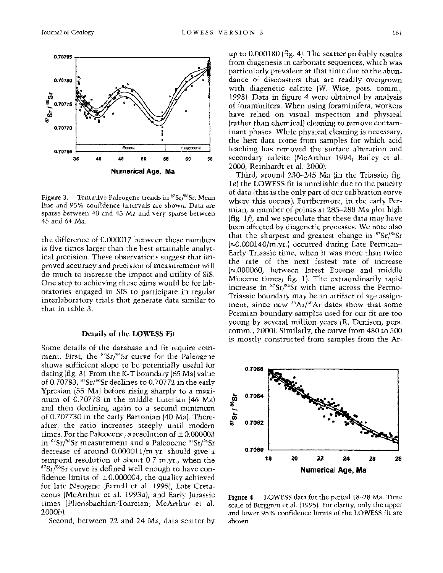

**Figure 3. Tentative Paleogene trends in 87Sr/86Sr. Mean line and 95% confidence intervals are shown. Data are sparse between 40 and 45 Ma and very sparse between 45 and 64 Ma.** 

**the difference of 0.000017 between these numbers is five times larger than the best attainable analytical precision. These observations suggest that improved accuracy and precision of measurement will do much to increase the impact and utility of SIS. One step to achieving these aims would be for laboratories engaged in SIS to participate in regular interlaboratory trials that generate data similar to that in table 3.** 

#### **Details of the LOWESS Fit**

**Some details of the database and fit require comment. First, the 87Sr/86Sr curve for the Paleogene shows sufficient slope to be potentially useful for dating (fig. 3). From the K-T boundary (65 Ma) value of 0.70783, 87Sr/S6Sr declines to 0.70772 in the early Ypresian (55 Ma) before rising sharply to a maximum of 0.70778 in the middle Lutetian (46 Ma) and then declining again to a second minimum of 0.707730 in the early Bartonian (40 Ma). Thereafter, the ratio increases steeply until modern times. For the Palcocene, a resolution of**  $\pm 0.000003$ **in 87Sr/86Sr measurement and a Paleocene 87Sr/86Sr decrease of around 0.000011/m.yr. should give a temporal resolution of about 0.7 m.yr., when the**  <sup>87</sup>Sr/<sup>86</sup>Sr curve is defined well enough to have con**fidence limits of ±0.000004, the quality achieved for late Neogene (Farrell et al. 1995), Late Cretaceous (McArthur et al. 1993a), and Early Jurassic times (Pliensbachian-Toarcian; McArthur et al. 2000b).** 

**Second, between 22 and 24 Ma, data scatter by** 

**up to 0.000180 (fig. 4). The scatter probably results from diagenesis in carbonate sequences, which was particularly prevalent at that time due to the abundance of discoasters that are readily overgrown with diagenetic calcite (W. Wise, pers. comm., 1998). Data in figure 4 were obtained by analysis of foraminifera. When using foraminifera, workers have relied on visual inspection and physical (rather than chemical) cleaning to remove contaminant phases. While physical cleaning is necessary, the best data come from samples for which acid leaching has removed the surface alteration and secondary calcite (McArthur 1994; Bailey et al. 2000; Reinhardt et al. 2000).** 

**Third, around 230-245 Ma (in the Triassic; fig. le) the LOWESS fit is unreliable due to the paucity of data (this is the only part of our calibration curve where this occurs). Furthermore, in the early Permian, a number of points at 285-288 Ma plot high (fig. If), and we speculate that these data may have been affected by diagenetic processes. We note also that the sharpest and greatest change in 87Sr/86Sr (m0.000140/m.yr.) occurred during Late Permian-Early Triassic time, when it was more than twice the rate of the next fastest rate of increase (e.000060, between latest Eocene and middle Miocene times; fig. 1). The extraordinarily rapid increase in 87Sr/86Sr with time across the Permo-Triassic boundary may be an artifact of age assignment, since new 39Ar/40Ar dates show that some Permian boundary samples used for our fit are too young by several million years (R. Denison, pers. comm., 2000). Similarly, the curve from 480 to 500 is mostly constructed from samples from the Ar-**



**Figure 4. LOWESS data for the period 18-28 Ma. Time scale of Berggren et al. (1995). For clarity, only the upper and lower 95% confidence limits of the LOWESS fit are shown.**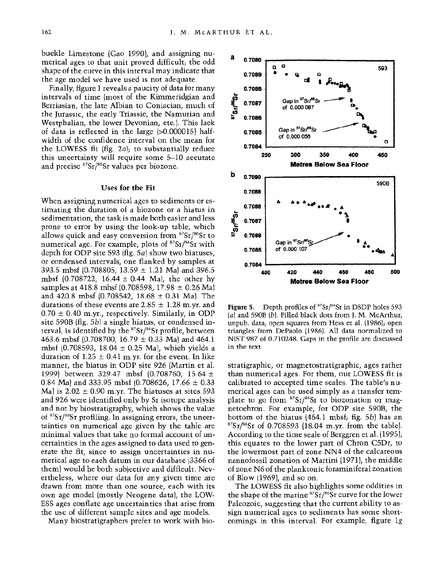**buckle Limestone (Gao 1990), and assigning numerical ages to that unit proved difficult; the odd shape of the curve in this interval may indicate that the age model we have used is not adequate.** 

**Finally, figure 1 reveals a paucity of data for many intervals of time (most of the Kimmeridgian and Berriasian, the late Albian to Coniacian, much of the Jurassic, the early Triassic, the Namurian and Westphalian, the lower Devonian, etc.). This lack of data is reflected in the large (>0.000015) halfwidth of the confidence interval on the mean for the LOWESS fit (fig. 2a); to substantially reduce this uncertainty will require some 5-10 accurate and precise 87Sr/86Sr values per biozone.** 

#### **Uses for the Fit**

**When assigning numerical ages to sediments or estimating the duration of a biozone or a hiatus in sedimentation, the task is made both easier and less prone to error by using the look-up table, which allows quick and easy conversion from 87Sr/86Sr to numerical age. For example, plots of 87Sr/86Sr with depth for ODP site 593 (fig. 5a) show two hiatuses, or condensed intervals, one flanked by samples at 393.5 mbsf (0.708805, 13.59 ± 1.21 Ma) and 396.5 mbsf (0.708722, 16.44 ± 0.44 Ma), the other by samples at 418.8 mbsf (0.708598, 17.98 ± 0.26 Ma) and 420.8 mbsf (0.708542, 18.68 ± 0.31 Ma). The durations of these events are 2.85 ± 1.28 m.yr. and 0.70 ± 0.40 m.yr., respectively. Similarly, in ODP site 590B (fig. 5b) a single hiatus, or condensed in**terval, is identified by the <sup>87</sup>Sr/<sup>86</sup>Sr profile, between **463.6 mbsf (0.708700, 16.79 ± 0.33 Ma) and 464.1 mbsf (0.708593, 18.04 ± 0.25 Ma), which yields a**  duration of  $1.25 \pm 0.41$  m.yr. for the event. In like **manner, the hiatus in ODP site 926 (Martin et al. 1999) between 329.47 mbsf (0.708760, 15.64 + 0.84 Ma) and 333.95 mbsf (0.708626, 17.66 ± 0.33 Ma) is 2.02 ± 0.90 m.yr. The hiatuses at sites 593 and 926 were identified only by Sr isotope analysis and not by biostratigraphy, which shows the value of 87Sr/86Sr profiling. In assigning errors, the uncertainties on numerical age given by the table are minimal values that take no formal account of uncertainties in the ages assigned to data used to generate the fit, since to assign uncertainties in numerical age to each datum in our database (3366 of them) would be both subjective and difficult. Nevertheless, where our data for any given time are drawn from more than one source, each with its own age model (mostly Neogene data), the LOW-ESS ages conflate age uncertainties that arise from the use of different sample sites and age models.** 

**Many biostratigraphers prefer to work with bio-**



**Figure 5. Depth profiles of 87Sr/86Sr in DSDP holes 593 (a) and 590B (b). Filled black dots from J. M. McArthur, unpub. data; open squares from Hess et al. (1986); open triangles from DePaolo (1986). All data normalized to NIST 987 of 0.710248. Gaps in the profile are discussed in the text.** 

**stratigraphic, or magnetostratigraphic, ages rather than numerical ages. For them, our LOWESS fit is calibrated to accepted time scales. The table's numerical ages can be used simply as a transfer template to go from 87Sr/86Sr to biozonation or magnetochron. For example, for ODP site 590B, the bottom of the hiatus (464.1 mbsf; fig. 5b) has an 87Sr/86Sr of 0.708593 (18.04 m.yr. from the table). According to the time scale of Berggren et al. (1995), this equates to the lower part of Chron C5Dr, to the lowermost part of zone NN4 of the calcareous nannofossil zonation of Martini (1971), the middle of zone N6 of the planktonic foraminiferal zonation of Blow (1969), and so on.** 

**The LOWESS fit also highlights some oddities in the shape of the marine 87Sr/86Sr curve for the lower Paleozoic, suggesting that the current ability to assign numerical ages to sediments has some shortcomings in this interval. For example, figure Ig**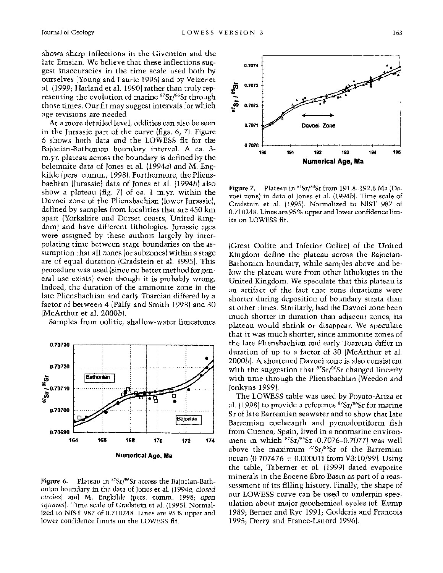**shows sharp inflections in the Giventian and the late Emsian. We believe that these inflections suggest inaccuracies in the time scale used both by ourselves (Young and Laurie 1996) and by Veizer et al. (1999; Harland et al. 1990) rather than truly rep**resenting the evolution of marine <sup>87</sup>Sr/<sup>86</sup>Sr through **those times. Our fit may suggest intervals for which age revisions are needed.** 

**At a more detailed level, oddities can also be seen in the Jurassic part of the curve (figs. 6, 7). Figure 6 shows both data and the LOWESS fit for the Bajocian-Bathonian boundary interval. A ca. 3 m.yr. plateau across the boundary is defined by the belemnite data of Jones et al. (1994a) and M. Engkilde (pers. comm., 1998). Furthermore, the Pliensbachian (Jurassic) data of Jones et al. (1994b) also show a plateau (fig. 7) of ca. 1 m.yr. within the Davoei zone of the Pliensbachian (lower Jurassic), defined by samples from localities that are 450 km apart (Yorkshire and Dorset coasts, United Kingdom) and have different lithologies. Jurassic ages were assigned by these authors largely by interpolating time between stage boundaries on the assumption that all zones (or subzones) within a stage are of equal duration (Gradstein et al. 1995). This procedure was used (since no better method for general use exists) even though it is probably wrong. Indeed, the duration of the ammonite zone in the late Pliensbachian and early Toarcian differed by a factor of between 4 (Pilfy and Smith 1998) and 30 (McArthur et al. 2000b).** 

**Samples from oolitic, shallow-water limestones** 



Figure 6. Plateau in <sup>87</sup>Sr/<sup>86</sup>Sr across the Bajocian-Bath**onian boundary in the data of Jones et al. (1994a; closed circles) and M. Engkilde (pers. comm. 1998; open squares). Time scale of Gradstein et al. (1995). Normalized to NIST 987 of 0.710248. Lines are 95% upper and lower confidence limits on the LOWESS fit.** 



**Figure 7.** Plateau in <sup>87</sup>Sr/<sup>86</sup>Sr from 191.8-192.6 Ma (Da**voei zone) in data of Jones et al. (1994b). Time scale of Gradstein et al. (1995). Normalized to NIST 987 of 0.710248. Lines are 95% upper and lower confidence limits on LOWESS fit.** 

**(Great Oolite and Inferior Oolite) of the United Kingdom define the plateau across the Bajocian-Bathonian boundary, while samples above and below the plateau were from other lithologies in the United Kingdom. We speculate that this plateau is an artifact of the fact that zone durations were shorter during deposition of boundary strata than at other times. Similarly, had the Davoei zone been much shorter in duration than adjacent zones, its plateau would shrink or disappear. We speculate that it was much shorter, since ammonite zones of the late Pliensbachian and early Toarcian differ in duration of up to a factor of 30 (McArthur et al. 2000b). A shortened Davoei zone is also consistent**  with the suggestion that <sup>87</sup>Sr/<sup>86</sup>Sr changed linearly **with time through the Pliensbachian (Weedon and Jenkyns 1999).** 

**The LOWESS table was used by Poyato-Ariza et al. (1998) to provide a reference 87Sr/86Sr for marine Sr of late Barremian seawater and to show that late Barremian coelacanth and pycnodontiform fish from Cuenca, Spain, lived in a nonmarine environ**ment in which <sup>87</sup>Sr/<sup>86</sup>Sr (0.7076-0.7077) was well above the maximum <sup>87</sup>Sr/<sup>86</sup>Sr of the Barremian **ocean (0.707476 + 0.000011 from V3:10/99). Using the table, Taberner et al. (1999) dated evaporite minerals in the Eocene Ebro Basin as part of a reassessment of its filling history. Finally, the shape of our LOWESS curve can be used to underpin speculation about major geochemical cycles (cf. Kump 1989; Berner and Rye 1991; Godderis and Francois 1995; Derry and France-Lanord 1996).**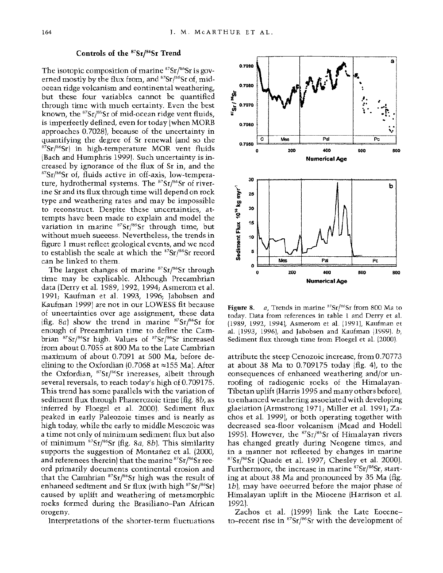# **Controls of the 87Sr/86Sr Trend**

The isotopic composition of marine <sup>87</sup>Sr/<sup>86</sup>Sr is governed mostly by the flux from, and <sup>87</sup>Sr/<sup>86</sup>Sr of, mid**ocean ridge volcanism and continental weathering, but these four variables cannot be quantified through time with much certainty. Even the best**  known, the <sup>87</sup>Sr/<sup>86</sup>Sr of mid-ocean ridge vent fluids, **is imperfectly defined, even for today (when MORB approaches 0.7028), because of the uncertainty in quantifying the degree of Sr renewal (and so the 87Sr/86Sr) in high-temperature MOR vent fluids (Bach and Humphris 1999). Such uncertainty is increased by ignorance of the flux of Sr in, and the 8Sr/86Sr of, fluids active in off-axis, low-tempera**ture, hydrothermal systems. The <sup>87</sup>Sr/<sup>86</sup>Sr of river**ine Sr and its flux through time will depend on rock type and weathering rates and may be impossible to reconstruct. Despite these uncertainties, attempts have been made to explain and model the**  variation in marine <sup>87</sup>Sr/<sup>86</sup>Sr through time, but **without much success. Nevertheless, the trends in figure 1 must reflect geological events, and we need to establish the scale at which the 87Sr/86Sr record can be linked to them.** 

**The largest changes of marine 87Sr/86Sr through time may be explicable. Although Precambrian data (Derry et al. 1989, 1992, 1994; Asmerom et al. 1991; Kaufman et al. 1993, 1996; Jabobsen and Kaufman 1999) are not in our LOWESS fit because of uncertainties over age assignment, these data (fig. 8a) show the trend in marine 87Sr/86Sr for enough of Precambrian time to define the Cam**brian <sup>87</sup>Sr/<sup>86</sup>Sr high. Values of <sup>87</sup>Sr/<sup>86</sup>Sr increased **from about 0.7055 at 800 Ma to the Late Cambrian maximum of about 0.7091 at 500 Ma, before de**elining to the Oxfordian  $(0.7068 \text{ at } \approx 155 \text{ Mal})$ . After the Oxfordian, <sup>87</sup>Sr/<sup>86</sup>Sr increases, albeit through **several reversals, to reach today's high of 0.709175. This trend has some parallels with the variation of sediment flux through Phanerozoic time (fig. 8b, as inferred by Floegel et al. 2000). Sediment flux peaked in early Paleozoic times and is nearly as high today, while the early to middle Mesozoic was a time not only of minimum sediment flux but also of minimum 87Sr/s6Sr (fig. 8a, 8b). This similarity supports the suggestion of Montafiez et al. (2000,**  and references therein) that the marine <sup>87</sup>Sr/<sup>86</sup>Sr ree**ord primarily documents continental erosion and**  that the Camhrian <sup>87</sup>Sr/<sup>86</sup>Sr high was the result of enhanced sediment and Sr flux (with high <sup>87</sup>Sr/<sup>86</sup>Sr) **caused by uplift and weathering of metamorphic rocks formed during the Brasiliano-Pan African orogeny.** 

**Interpretations of the shorter-term fluctuations** 



**Figure 8. a, Trends in marine 87Sr/86Sr from 800 Ma to today. Data from references in table 1 and Derry et al. (1989, 1992, 1994), Asmerom et al. (1991), Kaufman et al. (1993, 1996), and Jabobsen and Kaufman (1999). b, Sediment flux through time from Floegel et al. (2000).** 

**attribute the steep Cenozoic increase, from 0.70773 at about 38 Ma to 0.709175 today (fig. 4), to the consequences of enhanced weathering and/or unroofing of radiogenic rocks of the Himalayan-Tibetan uplift (Harris 1995 and many others before), to enhanced weathering associated with developing glaciation (Armstrong 1971; Miller et al. 1991; Zachos et al. 1999), or both operating together with decreased sea-floor volcanism (Mead and Hodell 1995). However, the 87Sr/86Sr of Himalayan rivers has changed greatly during Neogene times, and in a manner not reflected by changes in marine 87Sr/6"Sr (Quade et al. 1997; Chesley et al. 2000). Furthermore, the increase in marine 87Sr/s6Sr, starting at about 38 Ma and pronounced by 35 Ma (fig. Ib), may have occurred before the major phase of Himalayan uplift in the Miocene (Harrison et al. 1992).** 

**Zachos et al. (1999) link the Late Eoceneto-recent rise in 87Sr/86Sr with the development of**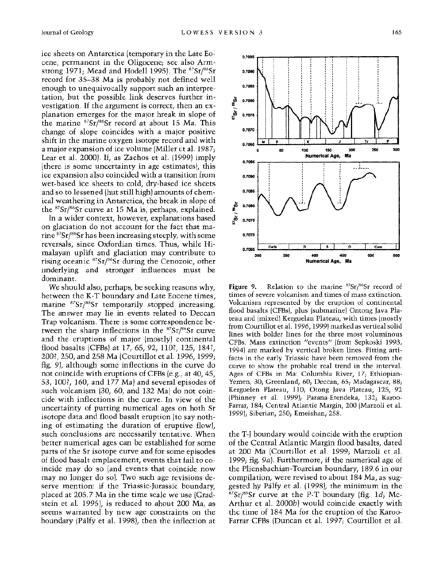**ice sheets on Antarctica (temporary in the Late Eocene, permanent in the Oligocene; see also Armstrong 1971; Mead and Hodell 1995). The 87Sr/86Sr record for 35-38 Ma is probably not defined well enough to unequivocally support such an interpretation, but the possible link deserves further investigation. If the argument is correct, then an explanation emerges for the major break in slope of the marine 87Sr/86Sr record at about 15 Ma. This change of slope coincides with a major positive shift in the marine oxygen isotope record and with a major expansion of ice volume (Miller et al. 1987; Lear et al. 2000). If, as Zachos et al. (1999) imply (there is some uncertainty in age estimates), this ice expansion also coincided with a transition from wet-based ice sheets to cold, dry-based ice sheets and so to lessened (but still high) amounts of chemical weathering in Antarctica, the break in slope of the 87Sr/86Sr curve at 15 Ma is, perhaps, explained.** 

**In a wider context, however, explanations based on glaciation do not account for the fact that marine 87Sr/86Sr has been increasing steeply, with some reversals, since Oxfordian times. Thus, while Himalayan uplift and glaciation may contribute to rising oceanic 87Sr/s6Sr during the Cenozoic, other underlying and stronger influences must be dominant.** 

**We should also, perhaps, be seeking reasons why, between the K-T boundary and Late Eocene times, marine 87Sr/s6Sr temporarily stopped increasing. The answer may lie in events related to Deccan Trap volcanism. There is some correspondence between the sharp inflections in the 87Sr/86Sr curve and the eruptions of major (mostly) continental flood basalts (CFBs) at 17, 65, 92, 110?, 125, 184?, 200?, 250, and 258 Ma (Courtillot et al. 1996, 1999; fig. 9), although some inflections in the curve do not coincide with eruptions of CFBs (e.g., at 40, 45, 53, 100?, 160, and 177 Ma) and several episodes of such volcanism (30, 60, and 132 Ma) do not coincide with inflections in the curve. In view of the uncertainty of putting numerical ages on both Sr isotope data and flood basalt eruption (to say nothing of estimating the duration of eruptive flow), such conclusions are necessarily tentative. When better numerical ages can be established for some parts of the Sr isotope curve and for some episodes of flood basalt emplacement, events that fail to coincide may do so (and events that coincide now may no longer do so). Two such age revisions deserve mention: if the Triassic-Jurassic boundary, placed at 205.7 Ma in the time scale we use (Gradstein et al. 1995), is reduced to about 200 Ma, as seems warranted by new age constraints on the boundary (Pilfy et al. 1998), then the inflection at** 



Figure 9. Relation to the marine <sup>87</sup>Sr/<sup>86</sup>Sr record of **times of severe volcanism and times of mass extinction. Volcanism represented by the eruption of continental flood basalts (CFBs), plus (submarine) Ontong Java Plateau and (mixed) Kerguelan Plateau, with times (mostly from Courtillot et al. 1996, 1999) marked as vertical solid lines with bolder lines for the three most voluminous CFBs. Mass extinction "events" (from Sepkoski 1993, 1994) are marked by vertical broken lines. Fitting artifacts in the early Triassic have been removed from the curve to show the probable real trend in the interval. Ages of CFBs in Ma: Columbia River, 17; Ethiopian-Yemen, 30; Greenland, 60; Deccan, 65; Madagascar, 88; Kerguelen Plateau, 110; Otong Java Plateau, 125, 92 (Phinney et al. 1999); Parana-Etendeka, 132; Karoo-Farrar, 184; Central Atlantic Margin, 200 (Marzoli et al. 1999); Siberian, 250; Emeishan, 258.** 

**the T-J boundary would coincide with the eruption of the Central Atlantic Margin flood basalts, dated at 200 Ma (Courtillot et al. 1999; Marzoli et al. 1999; fig. 9a). Furthermore, if the numerical age of the Pliensbachian-Toarcian boundary, 189.6 in our compilation, were revised to about 184 Ma, as suggested by Pilfy et al. (1998), the minimum in the 87Sr/86Sr curve at the P-T boundary (fig. Id; Mc-Arthur et al. 2000b) would coincide exactly with the time of 184 Ma for the eruption of the Karoo-Farrar CFBs (Duncan et al. 1997; Courtillot et al.**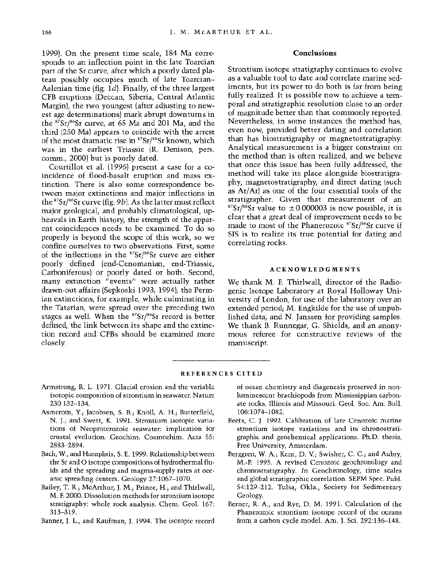**1999). On the present time scale, 184 Ma corresponds to an inflection point in the late Toarcian part of the Sr curve, after which a poorly dated plateau possibly occupies much of late Toarcian-Aalenian time (fig. Id). Finally, of the three largest CFB eruptions (Deccan, Siberia, Central Atlantic Margin), the two youngest (after adjusting to newest age determinations) mark abrupt downturns in the 87Sr/86Sr curve, at 65 Ma and 201 Ma, and the third (250 Ma) appears to coincide with the arrest**  of the most dramatic rise in <sup>87</sup>Sr/<sup>86</sup>Sr known, which **was in the earliest Triassic (R. Denison, pers. comm., 2000) but is poorly dated.** 

**Courtillot et al. (1996) present a case for a coincidence of flood-basalt eruption and mass extinction. There is also some correspondence between major extinctions and major inflections in the 87Sr/6Sr curve (fig. 9b). As the latter must reflect major geological, and probably climatological, upheavals in Earth history, the strength of the apparent coincidences needs to be examined. To do so properly is beyond the scope of this work, so we confine ourselves to two observations. First, some of the inflections in the 87Sr/6"Sr curve are either poorly defined (end-Cenomanian, end-Triassic, Carboniferous) or poorly dated or both. Second, many extinction "events" were actually rather drawn-out affairs (Sepkoski 1993, 1994); the Permian extinctions, for example, while culminating in the Tatarian, were spread over the preceding two stages as well. When the 87Sr/86Sr record is better defined, the link between its shape and the extinction record and CFBs should be examined more closely.** 

### **Conclusions**

**Strontium isotope stratigraphy continues to evolve as a valuable tool to date and correlate marine sediments, but its power to do both is far from being fully realized. It is possible now to achieve a temporal and stratigraphic resolution close to an order of magnitude better than that commonly reported. Nevertheless, in some instances the method has, even now, provided better dating and correlation than has biostratigraphy or magnetostratigraphy. Analytical measurement is a bigger constraint on the method than is often realized, and we believe that once this issue has been fully addressed, the method will take its place alongside biostratigraphy, magnetostratigraphy, and direct dating (such as Ar/Ar) as one of the four essential tools of the stratigrapher. Given that measurement of an**   $87\text{Sr}/86\text{Sr}$  value to  $\pm 0.000003$  is now possible, it is **clear that a great deal of improvement needs to be**  made to most of the Phanerozoic <sup>87</sup>Sr/<sup>86</sup>Sr curve if **SIS is to realize its true potential for dating and correlating rocks.** 

#### **ACKNOWLEDGMENTS**

**We thank M. F. Thirlwall, director of the Radiogenic Isotope Laboratory at Royal Holloway University of London, for use of the laboratory over an extended period; M. Engkilde for the use of unpublished data; and N. Janssen for providing samples. We thank B. Runnegar, G. Shields, and an anonymous referee for constructive reviews of the manuscript.** 

## **REFERENCES CITED**

- **Armstrong, R. L. 1971. Glacial erosion and the variable isotopic composition of strontium in seawater. Nature 230:132-134.**
- **Asmerom, Y.; Jacobsen, S. B.; Knoll, A. H.; Butterfield, N. J.; and Swett, K. 1991. Strontium isotopic variations of Neoproterozoic seawater: implication for crustal evolution. Geochim. Cosmochim. Acta 55: 2883-2894.**
- **Bach, W., and Humphris, S. E. 1999. Relationship between the Sr and O isotope compositions of hydrothermal fluids and the spreading and magma-supply rates at oceanic spreading centers. Geology 27:1067-1070.**
- **Bailey, T. R.; McArthur, J. M.; Prince, H.; and Thirlwall, M. F. 2000. Dissolution methods for strontium isotope stratigraphy: whole rock analysis. Chem. Geol. 167: 313-319.**
- **Banner, J. L., and Kaufman, J. 1994. The isotopic record**

**of ocean chemistry and diagenesis preserved in nonluminescent brachiopods from Mississippian carbonate rocks, Illinois and Missouri. Geol. Soc. Am. Bull. 106:1074-1082.** 

- **Beets, C. J. 1992. Calibration of late Cenozoic marine strontium isotope variations and its chronostratigraphic and geochemical applications. Ph.D. thesis, Free University, Amsterdam.**
- **Berggren, W. A.; Kent, D. V.; Swisher, C. C.; and Aubry, M.-P. 1995. A revised Cenozoic geochronology and chronostratigraphy. In Geochronology, time scales and global stratigraphic correlation. SEPM Spec. Publ. 54:129-212. Tulsa, Okla., Society for Sedimentary Geology.**
- **Berner, R. A., and Rye, D. M. 1991. Calculation of the Phanerozoic strontium isotope record of the oceans from a carbon cycle model. Am. J. Sci. 292:136-148.**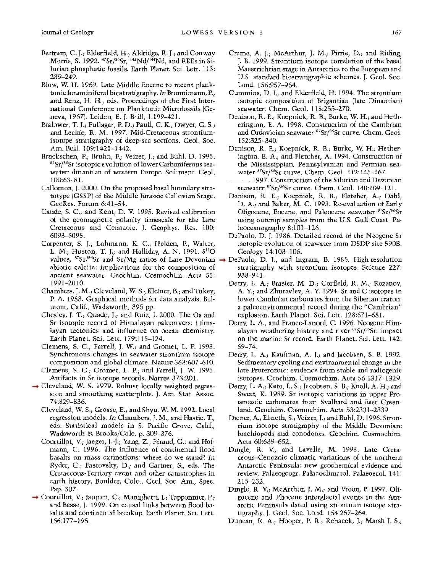- **Bertram, C. J.; Elderfield, H.; Aldridge, R. J.; and Conway**  Morris, S. 1992. <sup>87</sup>Sr/<sup>86</sup>Sr, <sup>143</sup>Nd/<sup>144</sup>Nd, and REEs in Si**lurian phosphatic fossils. Earth Planet. Sci. Lett. 113: 239-249.**
- **Blow, W. H. 1969. Late Middle Eocene to recent planktonic foraminiferal biostratigraphy. In Bronnimann, P., and Renz, H. H., eds. Proceedings of the First International Conference on Planktonic Microfossils (Geneva, 1967). Leiden, E. J. Brill, 1:199-421.**
- **Bralower, T. J.; Fullagar, P. D.; Paull, C. K.; Dwyer, G. S.; and Leckie, R. M. 1997. Mid-Cretaceous strontiumisotope stratigraphy of deep-sea sections. Geol. Soc. Am. Bull. 109:1421-1442.**
- **Bruckschen, P.; Bruhn, F.; Veizer, J.; and Buhl, D. 1995. 87Sr/S6Sr isotopic evolution of lower Carboniferous seawater: dinantian of western Europe. Sediment. Geol. 100:63-81.**
- **Callomon, J. 2000. On the proposed basal boundary stratotype (GSSP) of the Middle Jurassic Callovian Stage. GeoRes. Forum 6:41-54.**
- **Cande, S. C., and Kent, D. V. 1995. Revised calibration of the geomagnetic polarity timescale for the Late Cretaceous and Cenozoic. J. Geophys. Res. 100: 6093-6095.**
- **Carpenter, S. J.; Lohmann, K. C.; Holden, P.; Walter, L. M.; Huston, T. J.; and Halliday, A. N. 1991. 6180 abiotic calcite: implications for the composition of ancient seawater. Geochim. Cosmochim. Acta 55: 1991-2010.**
- **Chambers, J. M.; Cleveland, W. S.; Kleiner, B.; and Tukey, P. A. 1983. Graphical methods for data analysis. Belmont, Calif., Wadsworth, 395 pp.**
- **Chesley, J. T.; Quade, J.; and Ruiz, J. 2000. The Os and Sr isotopic record of Himalayan paleorivers: Himalayan tectonics and influence on ocean chemistry. Earth Planet. Sci. Lett. 179:115-124.**
- **Clemens, S. C.; Farrell, J. W.; and Gromet, L. P. 1993. Synchronous changes in seawater strontium isotope composition and global climate. Nature 363:607-610.**
- **Clemens, S. C.; Gromet, L. P.; and Farrell, J. W. 1995. Artifacts in Sr isotope records. Nature 373:201.**
- **Cleveland, W. S. 1979. Robust locally weighted regression and smoothing scatterplots. J. Am. Stat. Assoc. 74:829-836.** 
	- **Cleveland, W. S.; Grosse, E.; and Shyu, W. M. 1992. Local regression models. In Chambers, J. M., and Hastie, T., eds. Statistical models in S. Pacific Grove, Calif., Wadsworth & Brooks/Cole, p. 309-376.**
	- Courtillot, V.; Jaeger, J.-J.; Yang, Z.; Féraud, G.; and Hof**mann, C. 1996. The influence of continental flood basalts on mass extinctions: where do we stand? In Ryder, G.; Fastovsky, D.; and Gartner, S., eds. The Cretaceous-Tertiary event and other catastrophes in earth history. Boulder, Colo., Geol. Soc. Am., Spec. Pap. 307.**
- **Courtillot, V.; Jaupart, C.; Manighetti, I.; Tapponnier, P.; and Besse, J. 1999. On causal links between flood basalts and continental breakup. Earth Planet. Sci. Lett. 166:177-195.**
- **Crame, A. J.; McArthur, J. M.; Pirrie, D.; and Riding, J. B. 1999. Strontium isotope correlation of the basal Maastrichtian stage in Antarctica to the European and U.S. standard biostratigraphic schemes. J. Geol. Soc. Lond. 156:957-964.**
- **Cummins, D. I., and Elderfield, H. 1994. The strontium isotopic composition of Brigantian (late Dinantian) seawater. Chem. Geol. 118:255-270.**
- **Denison, R. E.; Koepnick, R. B.; Burke, W. H.; and Hetherington, E. A. 1998. Construction of the Cambrian and Ordovician seawater 87Sr/86Sr curve. Chem. Geol. 152:325-340.**
- **Denison, R. E.; Koepnick, R. B.; Burke, W. H.; Hetherington, E. A.; and Fletcher, A. 1994. Construction of the Mississippian, Pennsylvanian and Permian seawater "Sr/86Sr curve. Chem. Geol. 112:145-167.**
- **-. 1997. Construction of the Silurian and Devonian seawater "Sr/86Sr curve. Chem. Geol. 140:109-121.**
- **Denison, R. E.; Koepnick, R. B.; Fletcher, A.; Dahl, D. A.; and Baker, M. C. 1993. Re-evaluation of Early Oligocene, Eocene, and Paleocene seawater 87Sr/86Sr using outcrop samples from the U.S. Gulf Coast. Paleoceanography 8:101-126.**
- **DePaolo, D. J. 1986. Detailed record of the Neogene Sr isotopic evolution of seawater from DSDP site 590B. Geology 14:103-106.**
- **values, 87Sr/86Sr and Sr/Mg ratios of Late Devonian DePaolo, D. J., and Ingram, B. 1985. High-resolution stratigraphy with strontium isotopes. Science 227: 938-941.** 
	- **Derry, L. A.; Brasier, M. D.; Corfield, R. M.; Rozanov, A. Y.; and Zhuravlev, A. Y. 1994. Sr and C isotopes in lower Cambrian carbonates from the Siberian craton: a paleoenvironmental record during the "Cambrian" explosion. Earth Planet. Sci. Lett. 128:671-681.**
	- **Derry, L. A., and France-Lanord, C. 1996. Neogene Himalayan weathering history and river 87Sr/s6Sr: impact on the marine Sr record. Earth Planet. Sci. Lett. 142: 59-74.**
	- **Derry, L. A.; Kaufman, A. J.; and Jacobsen, S. B. 1992. Sedimentary cycling and environmental change in the late Proterozoic: evidence from stable and radiogenic isotopes. Geochim. Cosmochim. Acta 56:1317-1329.**
	- **Derry, L. A.; Keto, L. S.; Jacobsen, S. B.; Knoll, A. H.; and Swett, K. 1989. Sr isotopic variations in upper Proterozoic carbonates from Svalbard and East Greenland. Geochim. Cosmochim. Acta 53:2331-2339.**
	- **Diener, A.; Ebneth, S.; Veizer, J.; and Buhl, D. 1996. Strontium isotope stratigraphy of the Middle Devonian: brachiopods and conodonts. Geochim. Cosmochim. Acta 60:639-652.**
	- **Dingle, R. V., and Lavelle, M. 1998. Late Cretaceous-Cenozoic climatic variations of the northern Antarctic Peninsula: new geochemical evidence and review. Palaeogeogr. Palaeoclimatol. Palaeoecol. 141: 215-232.**
	- **Dingle, R. V.; McArthur, J. M.; and Vroon, P. 1997. Oligocene and Pliocene interglacial events in the Antarctic Peninsula dated using strontium isotope stratigraphy. J. Geol. Soc. Lond. 154:257-264.**
	- **Duncan, R. A.; Hooper, P. R.; Rehacek, J.; Marsh J. S.;**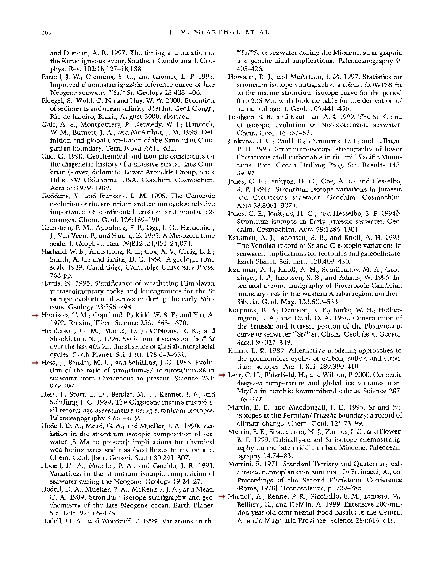**and Duncan, A. R. 1997. The timing and duration of the Karoo igneous event, Southern Gondwana. J. Geophys. Res. 102:18,127-18,138.** 

- **Farrell, J. W.; Clemens, S. C.; and Gromet, L. P. 1995. Improved chronostratigraphic reference curve of late Neogene seawater 87Sr/86Sr. Geology 23:403-406.**
- **Floegel, S.; Wold, C. N.; and Hay, W. W. 2000. Evolution of sediments and ocean salinity. 31st Int. Geol. Congr., Rio de Janeiro, Brazil, August 2000, abstract.**
- **Gale, A. S.; Montgomery, P.; Kennedy, W. J.; Hancock, W. M.; Burnett, J. A.; and McArthur, J. M. 1995. Definition and global correlation of the Santonian-Campanian boundary. Terra Nova 7:611-622.**
- **Gao, G. 1990. Geochemical and isotopic constraints on the diagenetic history of a massive stratal, late Cambrian (Royer) dolomite, Lower Arbuckle Group, Slick Hills, SW Oklahoma, USA. Geochim. Cosmochim. Acta 54:1979-1989.**
- **Godderis, Y., and Francois, L. M. 1995. The Cenozoic evolution of the strontium and carbon cycles: relative importance of continental erosion and mantle exchanges. Chem. Geol. 126:169-190.**
- **Gradstein, F. M.; Agterberg, F. P.; Ogg, J. G.; Hardenbol, J.; Van Veen, P.; and Huang, Z. 1995. A Mesozoic time scale. J. Geophys. Res. 99(B12):24,051-24,074.**
- **Harland, W. B.; Armstrong, R. L.; Cox, A. V.; Craig, L. E.; Smith, A. G.; and Smith, D. G. 1990. A geologic time scale 1989. Cambridge, Cambridge University Press, 263 pp.**
- **Harris, N. 1995. Significance of weathering Himalayan metasedimentary rocks and leucogranites for the Sr isotope evolution of seawater during the early Miocene. Geology 23:795-798.**
- **Harrison, T. M.; Copeland, P.; Kidd, W. S. F.; and Yin, A. 1992. Raising Tibet. Science 255:1663-1670.**
- **Henderson, G. M.; Martel, D. J.; O'Nions, R. K.; and Shackleton, N. J. 1994. Evolution of seawater 87Sr/6Sr over the last 400 ka: the absence of glacial/interglacial cycles. Earth Planet. Sci. Lett. 128:643-651.**
- → Hess, J.; Bender, M. L.; and Schilling, J.-G. 1986. Evolu**tion of the ratio of strontium-87 to strontium-86 in seawater from Cretaceous to present. Science 231: 979-984.** 
	- **Hess, J.; Stott, L. D.; Bender, M. L.; Kennet, J. P.; and Schilling, J.-G. 1989. The Oligocene marine microfossil record: age assessments using strontium isotopes. Paleoceanography 4:655-679.**
	- **Hodell, D. A.; Mead, G. A.; and Mueller, P. A. 1990. Variation in the strontium isotopic composition of seawater (8 Ma to present): implications for chemical weathering rates and dissolved fluxes to the oceans. Chem. Geol. (Isot. Geosci. Sect.) 80:291-307.**
	- **Hodell, D. A.; Mueller, P. A.; and Garrido, J. R. 1991. Variations in the strontium isotopic composition of seawater during the Neogene. Geology 19:24-27.**
	- **Hodell, D. A.; Mueller, P. A.; McKenzie, J. A.; and Mead, G. A. 1989. Strontium isotope stratigraphy and geochemistry of the late Neogene ocean. Earth Planet. Sci. Lett. 92:165-178.**
	- **Hodell, D. A., and Woodruff, F. 1994. Variations in the**

**87Sr/86Sr of seawater during the Miocene: stratigraphic and geochemical implications. Paleoceanography 9: 405-426.** 

- **Howarth, R. J., and McArthur, J. M. 1997. Statistics for strontium isotope stratigraphy: a robust LOWESS fit to the marine strontium isotope curve for the period 0 to 206 Ma, with look-up table for the derivation of numerical age. J. Geol. 105:441-456.**
- **Jacobsen, S. B., and Kaufman, A. J. 1999. The Sr, C and O isotopic evolution of Neoproterozoic seawater. Chem. Geol. 161:37-57.**
- **Jenkyns, H. C.; Paull, K.; Cummins, D. I.; and Fullagar, P. D. 1995. Strontium-isotope stratigraphy of lower Cretaceous atoll carbonates in the mid Pacific Mountains. Proc. Ocean Drilling Prog. Sci. Results 143: 89-97.**
- **Jones, C. E.; Jenkyns, H. C.; Coe, A. L.; and Hesselbo, S. P. 1994a. Strontium isotope variations in Jurassic and Cretaceous seawater. Geochim. Cosmochim. Acta 58:3061-3074.**
- **Jones, C. E.; Jenkyns, H. C.; and Hesselbo, S. P. 1994b. Strontium isotopes in Early Jurassic seawater. Geochim. Cosmochim. Acta 58:1285-1301.**
- **Kaufman, A. J.; Jacobsen, S. B.; and Knoll, A. H. 1993. The Vendian record of Sr and C isotopic variations in seawater: implications for tectonics and paleoclimate. Earth Planet. Sci. Lett. 120:409-430.**
- **Kaufman, A. J.; Knoll, A. H.; Semikhatov, M. A.; Grotzinger, J. P.; Jacobsen, S. B.; and Adams, W. 1996. Integrated chronostratigraphy of Proterozoic-Cambrian boundary beds in the western Anabar region, northern Siberia. Geol. Mag. 133:509-533.**
- **Koepnick, R. B.; Denison, R. E.; Burke, W. H.; Hetherington, E. A.; and Dahl, D. A. 1990. Construction of the Triassic and Jurassic portion of the Phanerozoic**  curve of seawater <sup>87</sup>Sr/<sup>86</sup>Sr. Chem. Geol. (Isot. Geosci. **Sect.) 80:327-349.**
- **Kump, L. R. 1989. Alternative modeling approaches to the geochemical cycles of carbon, sulfur, and strontium isotopes. Am. J. Sci. 289:390-410.**
- **Lear, C. H.; Elderfield, H.; and Wilson, P. 2000. Cenozoic deep-sea temperature and global ice volumes from Mg/Ca in benthic foraminiferal calcite. Science 287: 269-272.** 
	- **Martin, E. E., and Macdougall, J. D. 1995. Sr and Nd isotopes at the Permian/Triassic boundary: a record of climate change. Chem. Geol. 125:73-99.**
	- **Martin, E. E.; Shackleton, N. J.; Zachos, J. C.; and Flower, B. P. 1999. Orbitally-tuned Sr isotope chemostratigraphy for the late middle to late Miocene. Paleoceanography 14:74-83.**
	- **Martini, E. 1971. Standard Tertiary and Quaternary calcareous nannoplankton zonation. In Farinacci, A., ed. Proceedings of the Second Planktonic Conference (Rome, 1970). Tecnoscienza, p. 739-785.**
- **Marzoli, A.; Renne, P. R.; Piccirillo, E. M.; Ernesto, M.; Bellieni, G.; and DeMin, A. 1999. Extensive 200-million-year-old continental flood basalts of the Central Atlantic Magmatic Province. Science 284:616-618.**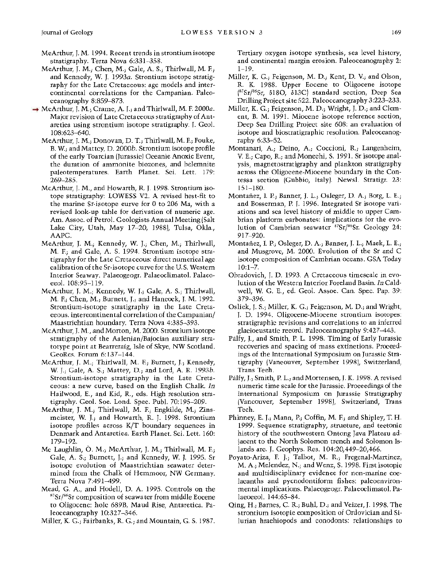- **McArthur, J. M. 1994. Recent trends in strontium isotope stratigraphy. Terra Nova 6:331-358.**
- **McArthur, J. M.; Chen, M.; Gale, A. S.; Thirlwall, M. F.; and Kennedy, W. J. 1993a. Strontium isotope stratigraphy for the Late Cretaceous: age models and intercontinental correlations for the Campanian. Paleoceanography 8:859-873.**
- **McArthur, J. M.; Crame, A. J.; and Thirlwall, M. F. 2000a. Major revision of Late Cretaceous stratigraphy of Antarctica using strontium isotope stratigraphy. J. Geol. 108:623-640.** 
	- **McArthur, J. M.; Donovan, D. T.; Thirlwall, M. F.; Fouke, B. W.; and Mattey, D. 2000b. Strontium isotope profile of the early Toarcian (Jurassic) Oceanic Anoxic Event, the duration of ammonite biozones, and belemnite paleotemperatures. Earth Planet. Sci. Lett. 179: 269-285.**
	- **McArthur, J. M., and Howarth, R. J. 1998. Strontium isotope stratigraphy: LOWESS V2. A revised best-fit to the marine Sr-isotope curve for 0 to 206 Ma, with a revised look-up table for derivation of numeric age. Am. Assoc. of Petrol. Geologists Annual Meeting (Salt Lake City, Utah, May 17-20, 1988), Tulsa, Okla., AAPG.**
	- **McArthur, J. M.; Kennedy, W. J.; Chen, M.; Thirlwall, M. F.; and Gale, A. S. 1994. Strontium isotope stratigraphy for the Late Cretaceous: direct numerical age calibration of the Sr-isotope curve for the U.S. Western Interior Seaway. Palaeogeogr. Palaeoclimatol. Palaeoecol. 108:95-119.**
	- **McArthur, J. M.; Kennedy, W. J.; Gale, A. S.; Thirlwall, M. F.; Chen, M.; Burnett, J.; and Hancock, J. M. 1992. Strontium-isotope stratigraphy in the Late Cretaceous. intercontinental correlation of the Campanian/ Maastrichtian boundary. Terra Nova 4:385-393.**
	- **McArthur, J. M., and Morton, M. 2000. Strontium isotope stratigraphy of the Aalenian/Bajocian auxiliary stratotype point at Bearreraig, Isle of Skye, NW Scotland. GeoRes. Forum 6:137-144.**
	- **McArthur, J. M.; Thirlwall, M. F.; Burnett, J.; Kennedy, W. J.; Gale, A. S.; Mattey, D.; and Lord, A. R. 1993b. Strontium-isotope stratigraphy in the Late Cretaceous: a new curve, based on the English Chalk. In Hailwood, E., and Kid, R., eds. High resolution stratigraphy. Geol. Soc. Lond. Spec. Publ. 70:195-209.**
	- **McArthur, J. M.; Thirlwall, M. F.; Engkilde, M.; Zinsmeister, W. J.; and Howarth, R. J. 1998. Strontium isotope profiles across K/T boundary sequences in Denmark and Antarctica. Earth Planet. Sci. Lett. 160: 179-192.**
	- **Mc Laughlin, 0. M.; McArthur, J. M.; Thirlwall, M. F.; Gale, A. S.; Burnett, J.; and Kennedy, W. J. 1995. Sr isotope evolution of Maastrichtian seawater determined from the Chalk of Hemmoor, NW Germany. Terra Nova 7:491-499.**
	- **Mead, G. A., and Hodell, D. A. 1995. Controls on the 87Sr/86Sr composition of seawater from middle Eocene to Oligocene: hole 689B, Maud Rise, Antarctica. Paleoceanography 10:327-346.**
	- **Miller, K. G.; Fairbanks, R. G.; and Mountain, G. S. 1987.**

**Tertiary oxygen isotope synthesis, sea level history, and continental margin erosion. Paleoceanography 2: 1-19.** 

- **Miller, K. G.; Feigenson, M. D.; Kent, D. V.; and Olson, R. K. 1988. Upper Eocene to Oligocene isotope (87Sr/86Sr, 6180, 613C) standard section, Deep Sea Drilling Project site 522. Paleoceanography 3:223-233.**
- **Miller, K. G.; Feigenson, M. D.; Wright, J. D.; and Clement, B. M. 1991. Miocene isotope reference section, Deep Sea Drilling Project site 608: an evaluation of isotope and biostratigraphic resolution. Paleoceanography 6:33-52.**
- **Montanari, A.; Deino, A.; Coccioni, R.; Langenheim, V. E.; Capo, R.; and Monechi, S. 1991. Sr isotope analysis, magnetostratigraphy and plankton stratigraphy across the Oligocene-Miocene boundary in the Contessa section (Gubbio, Italy). Newsl. Stratigr. 23: 151-180.**
- **Montafiez, I. P.; Banner, J. L.; Osleger, D. A.; Borg, L. E.; and Bosserman, P. J. 1996. Integrated Sr isotope variations and sea level history of middle to upper Cambrian platform carbonates: implications for the evolution of Cambrian seawater 8Sr/86Sr. Geology 24: 917-920.**
- **Montafiez, I. P.; Osleger, D. A.; Banner, J. L.; Mack, L. E.; and Musgrove, M. 2000. Evolution of the Sr and C isotope composition of Cambrian oceans. GSA Today 10:1-7.**
- **Obradovich, J. D. 1993. A Cretaceous timescale in evolution of the Western Interior Foreland Basin. In Caldwell, W. G. E., ed. Geol. Assoc. Can. Spec. Pap. 39: 379-396.**
- **Oslick, J. S.; Miller, K. G.; Feigenson, M. D.; and Wright, J. D. 1994. Oligocene-Miocene strontium isotopes: stratigraphic revisions and correlations to an inferred glacioeustatic record. Paleoceanography 9:427-443.**
- **Pilfy, J., and Smith, P. L. 1998. Timing of Early Jurassic recoveries and spacing of mass extinctions. Proceedings of the International Symposium on Jurassic Stratigraphy (Vancouver, September 1998), Switzerland, Trans Tech.**
- **Pilfy, J.; Smith, P. L.; and Mortensen, J. K. 1998. A revised numeric time scale for the Jurassic. Proceedings of the International Symposium on Jurassic Stratigraphy (Vancouver, September 1998), Switzerland, Trans Tech.**
- **Phinney, E. J.; Mann, P.; Coffin, M. F.; and Shipley, T. H. 1999. Sequence stratigraphy, structure, and tectonic history of the southwestern Ontong Java Plateau adjacent to the North Solomon trench and Solomon Islands arc. J. Geophys. Res. 104:20,449-20,466.**
- **Poyato-Ariza, F. J.; Talbot, M. R.; Fregenal-Martinez, M. A.; Melendez, N.; and Wenz, S. 1998. First isotopic and multidisciplinary evidence for non-marine coelacanths and pycnodontiform fishes: paleoenvironmental implications. Palaeogeogr. Palaeoclimatol. Palaeoecol. 144:65-84.**
- **Qing, H.; Barnes, C. R.; Buhl, D.; and Veizer, J. 1998. The strontium isotopic composition of Ordovician and Silurian brachiopods and conodonts: relationships to**